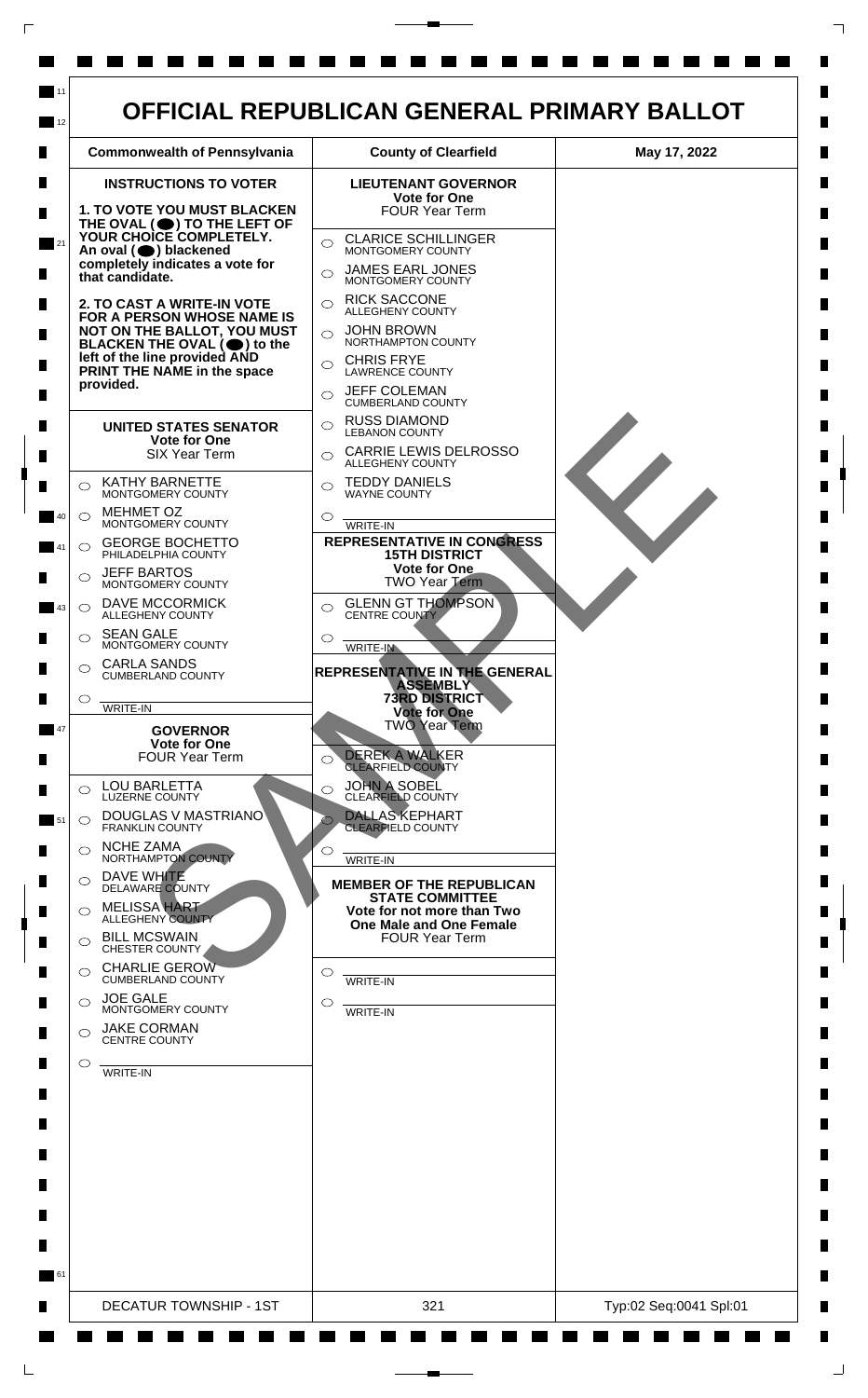

 $\Box$ 

 $\Box$